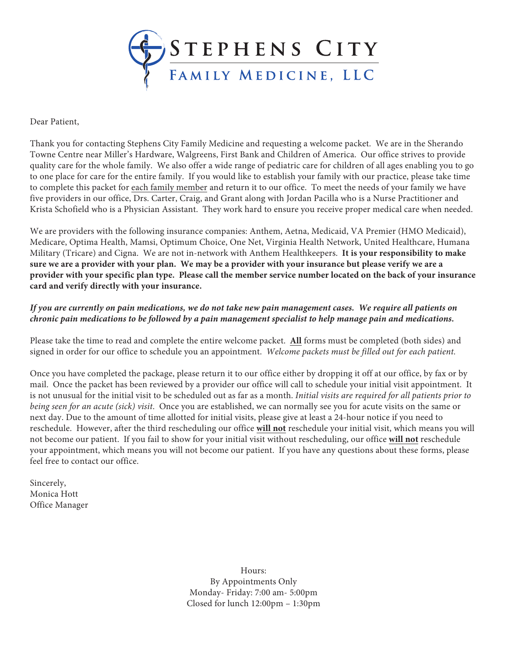

Dear Patient,

Thank you for contacting Stephens City Family Medicine and requesting a welcome packet. We are in the Sherando Towne Centre near Miller's Hardware, Walgreens, First Bank and Children of America. Our office strives to provide quality care for the whole family. We also offer a wide range of pediatric care for children of all ages enabling you to go to one place for care for the entire family. If you would like to establish your family with our practice, please take time to complete this packet for each family member and return it to our office. To meet the needs of your family we have five providers in our office, Drs. Carter, Craig, and Grant along with Jordan Pacilla who is a Nurse Practitioner and Krista Schofield who is a Physician Assistant. They work hard to ensure you receive proper medical care when needed.

We are providers with the following insurance companies: Anthem, Aetna, Medicaid, VA Premier (HMO Medicaid), Medicare, Optima Health, Mamsi, Optimum Choice, One Net, Virginia Health Network, United Healthcare, Humana Military (Tricare) and Cigna. We are not in-network with Anthem Healthkeepers. **It is your responsibility to make sure we are a provider with your plan. We may be a provider with your insurance but please verify we are a provider with your specific plan type. Please call the member service number located on the back of your insurance card and verify directly with your insurance.**

#### *If you are currently on pain medications, we do not take new pain management cases. We require all patients on chronic pain medications to be followed by a pain management specialist to help manage pain and medications.*

Please take the time to read and complete the entire welcome packet. **All** forms must be completed (both sides) and signed in order for our office to schedule you an appointment. *Welcome packets must be filled out for each patient.*

Once you have completed the package, please return it to our office either by dropping it off at our office, by fax or by mail. Once the packet has been reviewed by a provider our office will call to schedule your initial visit appointment. It is not unusual for the initial visit to be scheduled out as far as a month. *Initial visits are required for all patients prior to being seen for an acute (sick) visit*. Once you are established, we can normally see you for acute visits on the same or next day. Due to the amount of time allotted for initial visits, please give at least a 24-hour notice if you need to reschedule. However, after the third rescheduling our office **will not** reschedule your initial visit, which means you will not become our patient. If you fail to show for your initial visit without rescheduling, our office **will not** reschedule your appointment, which means you will not become our patient. If you have any questions about these forms, please feel free to contact our office.

Sincerely, Monica Hott Office Manager

> Hours: By Appointments Only Monday- Friday: 7:00 am- 5:00pm Closed for lunch 12:00pm – 1:30pm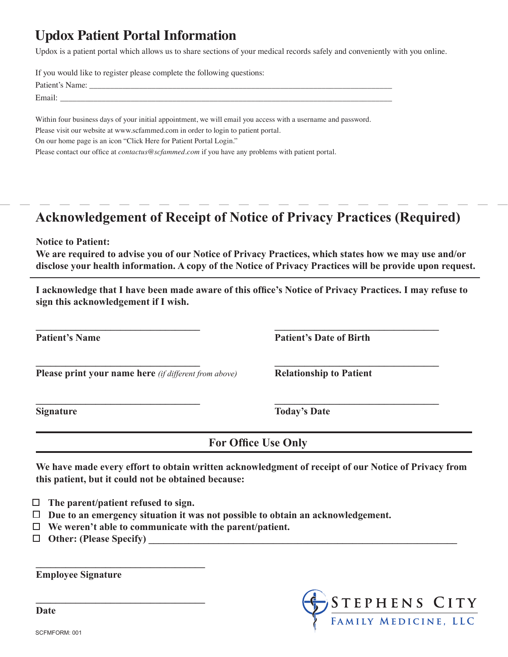## **Updox Patient Portal Information**

Updox is a patient portal which allows us to share sections of your medical records safely and conveniently with you online.

If you would like to register please complete the following questions:

| D.             |  |  |
|----------------|--|--|
| $\blacksquare$ |  |  |

Within four business days of your initial appointment, we will email you access with a username and password.

Please visit our website at www.scfammed.com in order to login to patient portal.

On our home page is an icon "Click Here for Patient Portal Login."

Please contact our office at *contactus@scfammed.com* if you have any problems with patient portal.

## **Acknowledgement of Receipt of Notice of Privacy Practices (Required)**

**Notice to Patient:**

**We are required to advise you of our Notice of Privacy Practices, which states how we may use and/or disclose your health information. A copy of the Notice of Privacy Practices will be provide upon request.**

**I acknowledge that I have been made aware of this office's Notice of Privacy Practices. I may refuse to sign this acknowledgement if I wish.**

**\_\_\_\_\_\_\_\_\_\_\_\_\_\_\_\_\_\_\_\_\_\_\_\_\_\_\_\_\_\_\_\_\_ \_\_\_\_\_\_\_\_\_\_\_\_\_\_\_\_\_\_\_\_\_\_\_\_\_\_\_\_\_\_\_\_\_**

**\_\_\_\_\_\_\_\_\_\_\_\_\_\_\_\_\_\_\_\_\_\_\_\_\_\_\_\_\_\_\_\_\_ \_\_\_\_\_\_\_\_\_\_\_\_\_\_\_\_\_\_\_\_\_\_\_\_\_\_\_\_\_\_\_\_\_**

**\_\_\_\_\_\_\_\_\_\_\_\_\_\_\_\_\_\_\_\_\_\_\_\_\_\_\_\_\_\_\_\_\_ \_\_\_\_\_\_\_\_\_\_\_\_\_\_\_\_\_\_\_\_\_\_\_\_\_\_\_\_\_\_\_\_\_**

**Please print your name here** *(if different from above)* **Relationship to Patient**

**Patient's Name Patient's Date of Birth**

**Signature Today's Date**

**For Office Use Only**

**We have made every effort to obtain written acknowledgment of receipt of our Notice of Privacy from this patient, but it could not be obtained because:**

 **The parent/patient refused to sign.**

**\_\_\_\_\_\_\_\_\_\_\_\_\_\_\_\_\_\_\_\_\_\_\_\_\_\_\_\_\_\_\_\_\_\_**

**\_\_\_\_\_\_\_\_\_\_\_\_\_\_\_\_\_\_\_\_\_\_\_\_\_\_\_\_\_\_\_\_\_\_**

- **Due to an emergency situation it was not possible to obtain an acknowledgement.**
- **We weren't able to communicate with the parent/patient.**
- $\Box$  Other: (Please Specify)

**Employee Signature** 



**Date**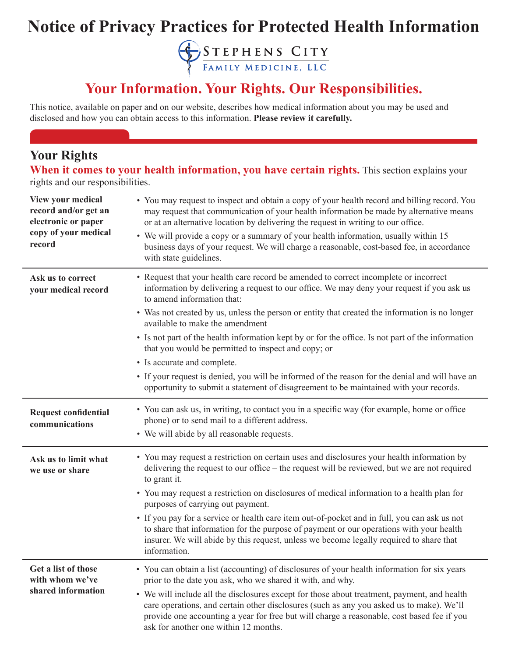# **Notice of Privacy Practices for Protected Health Information**

STEPHENS CITY

## **Your Information. Your Rights. Our Responsibilities.**

This notice, available on paper and on our website, describes how medical information about you may be used and disclosed and how you can obtain access to this information. **Please review it carefully.**

#### **Your Rights**

**When it comes to your health information, you have certain rights.** This section explains your rights and our responsibilities.

| <b>View your medical</b><br>record and/or get an<br>electronic or paper<br>copy of your medical<br>record | • You may request to inspect and obtain a copy of your health record and billing record. You<br>may request that communication of your health information be made by alternative means<br>or at an alternative location by delivering the request in writing to our office.<br>• We will provide a copy or a summary of your health information, usually within 15<br>business days of your request. We will charge a reasonable, cost-based fee, in accordance<br>with state guidelines. |
|-----------------------------------------------------------------------------------------------------------|-------------------------------------------------------------------------------------------------------------------------------------------------------------------------------------------------------------------------------------------------------------------------------------------------------------------------------------------------------------------------------------------------------------------------------------------------------------------------------------------|
| Ask us to correct<br>your medical record                                                                  | • Request that your health care record be amended to correct incomplete or incorrect<br>information by delivering a request to our office. We may deny your request if you ask us<br>to amend information that:                                                                                                                                                                                                                                                                           |
|                                                                                                           | • Was not created by us, unless the person or entity that created the information is no longer<br>available to make the amendment                                                                                                                                                                                                                                                                                                                                                         |
|                                                                                                           | • Is not part of the health information kept by or for the office. Is not part of the information<br>that you would be permitted to inspect and copy; or                                                                                                                                                                                                                                                                                                                                  |
|                                                                                                           | • Is accurate and complete.                                                                                                                                                                                                                                                                                                                                                                                                                                                               |
|                                                                                                           | • If your request is denied, you will be informed of the reason for the denial and will have an<br>opportunity to submit a statement of disagreement to be maintained with your records.                                                                                                                                                                                                                                                                                                  |
| <b>Request confidential</b><br>communications                                                             | • You can ask us, in writing, to contact you in a specific way (for example, home or office<br>phone) or to send mail to a different address.                                                                                                                                                                                                                                                                                                                                             |
|                                                                                                           | • We will abide by all reasonable requests.                                                                                                                                                                                                                                                                                                                                                                                                                                               |
| Ask us to limit what<br>we use or share                                                                   | • You may request a restriction on certain uses and disclosures your health information by<br>delivering the request to our office – the request will be reviewed, but we are not required<br>to grant it.                                                                                                                                                                                                                                                                                |
|                                                                                                           | • You may request a restriction on disclosures of medical information to a health plan for<br>purposes of carrying out payment.                                                                                                                                                                                                                                                                                                                                                           |
|                                                                                                           | • If you pay for a service or health care item out-of-pocket and in full, you can ask us not<br>to share that information for the purpose of payment or our operations with your health<br>insurer. We will abide by this request, unless we become legally required to share that<br>information.                                                                                                                                                                                        |
| Get a list of those<br>with whom we've                                                                    | You can obtain a list (accounting) of disclosures of your health information for six years<br>prior to the date you ask, who we shared it with, and why.                                                                                                                                                                                                                                                                                                                                  |
| shared information                                                                                        | • We will include all the disclosures except for those about treatment, payment, and health<br>care operations, and certain other disclosures (such as any you asked us to make). We'll<br>provide one accounting a year for free but will charge a reasonable, cost based fee if you<br>ask for another one within 12 months.                                                                                                                                                            |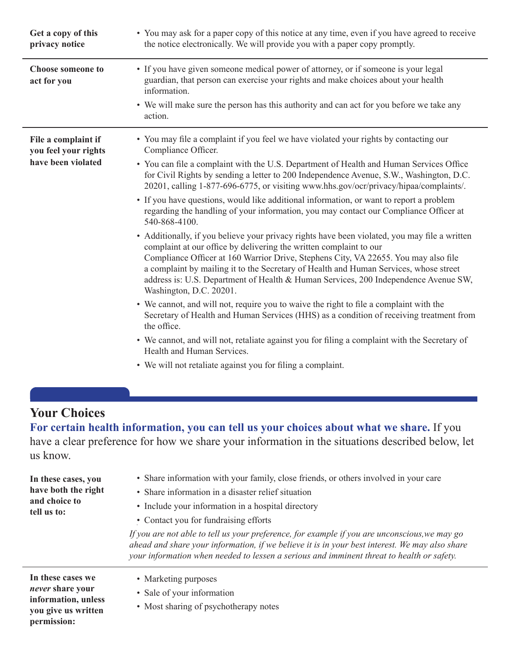| Get a copy of this<br>privacy notice                              | • You may ask for a paper copy of this notice at any time, even if you have agreed to receive<br>the notice electronically. We will provide you with a paper copy promptly.                                                                                                                                                                                                                                                                                                                                                                                                                                                                                                                                                                                                                                                                                                                                                                                                                                                                                                                                                                                                                                                                                                                                                                                                    |
|-------------------------------------------------------------------|--------------------------------------------------------------------------------------------------------------------------------------------------------------------------------------------------------------------------------------------------------------------------------------------------------------------------------------------------------------------------------------------------------------------------------------------------------------------------------------------------------------------------------------------------------------------------------------------------------------------------------------------------------------------------------------------------------------------------------------------------------------------------------------------------------------------------------------------------------------------------------------------------------------------------------------------------------------------------------------------------------------------------------------------------------------------------------------------------------------------------------------------------------------------------------------------------------------------------------------------------------------------------------------------------------------------------------------------------------------------------------|
| <b>Choose someone to</b><br>act for you                           | • If you have given someone medical power of attorney, or if someone is your legal<br>guardian, that person can exercise your rights and make choices about your health<br>information.<br>• We will make sure the person has this authority and can act for you before we take any<br>action.                                                                                                                                                                                                                                                                                                                                                                                                                                                                                                                                                                                                                                                                                                                                                                                                                                                                                                                                                                                                                                                                                 |
| File a complaint if<br>you feel your rights<br>have been violated | • You may file a complaint if you feel we have violated your rights by contacting our<br>Compliance Officer.<br>• You can file a complaint with the U.S. Department of Health and Human Services Office<br>for Civil Rights by sending a letter to 200 Independence Avenue, S.W., Washington, D.C.<br>20201, calling 1-877-696-6775, or visiting www.hhs.gov/ocr/privacy/hipaa/complaints/.<br>• If you have questions, would like additional information, or want to report a problem<br>regarding the handling of your information, you may contact our Compliance Officer at<br>540-868-4100.<br>• Additionally, if you believe your privacy rights have been violated, you may file a written<br>complaint at our office by delivering the written complaint to our<br>Compliance Officer at 160 Warrior Drive, Stephens City, VA 22655. You may also file<br>a complaint by mailing it to the Secretary of Health and Human Services, whose street<br>address is: U.S. Department of Health & Human Services, 200 Independence Avenue SW,<br>Washington, D.C. 20201.<br>• We cannot, and will not, require you to waive the right to file a complaint with the<br>Secretary of Health and Human Services (HHS) as a condition of receiving treatment from<br>the office.<br>• We cannot, and will not, retaliate against you for filing a complaint with the Secretary of |
|                                                                   | Health and Human Services.<br>• We will not retaliate against you for filing a complaint.                                                                                                                                                                                                                                                                                                                                                                                                                                                                                                                                                                                                                                                                                                                                                                                                                                                                                                                                                                                                                                                                                                                                                                                                                                                                                      |

## **Your Choices**

**permission:**

**For certain health information, you can tell us your choices about what we share.** If you have a clear preference for how we share your information in the situations described below, let us know.

| In these cases, you<br>have both the right<br>and choice to<br>tell us to:          | • Share information with your family, close friends, or others involved in your care<br>• Share information in a disaster relief situation<br>• Include your information in a hospital directory<br>• Contact you for fundraising efforts<br>If you are not able to tell us your preference, for example if you are unconscious, we may go<br>ahead and share your information, if we believe it is in your best interest. We may also share<br>your information when needed to lessen a serious and imminent threat to health or safety. |
|-------------------------------------------------------------------------------------|-------------------------------------------------------------------------------------------------------------------------------------------------------------------------------------------------------------------------------------------------------------------------------------------------------------------------------------------------------------------------------------------------------------------------------------------------------------------------------------------------------------------------------------------|
| In these cases we<br>never share your<br>information, unless<br>you give us written | • Marketing purposes<br>• Sale of your information<br>• Most sharing of psychotherapy notes                                                                                                                                                                                                                                                                                                                                                                                                                                               |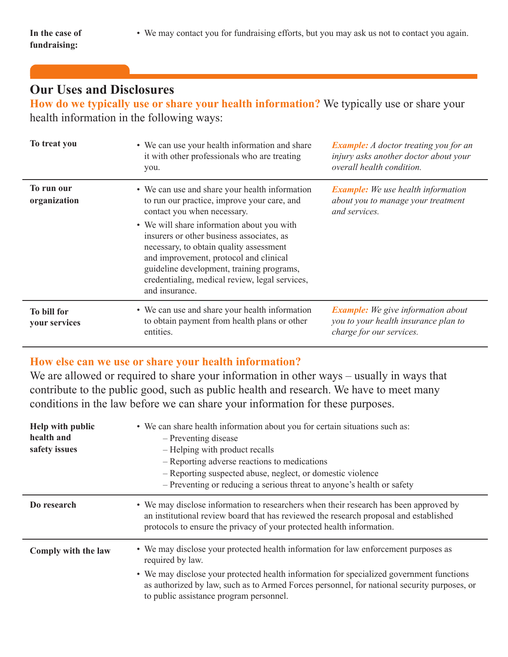• We may contact you for fundraising efforts, but you may ask us not to contact you again.

#### **Our Uses and Disclosures**

**How do we typically use or share your health information?** We typically use or share your health information in the following ways:

| To treat you                 | • We can use your health information and share<br>it with other professionals who are treating<br>you.                                                                                                                                                                                                                                                                                                                        | <b>Example:</b> A doctor treating you for an<br>injury asks another doctor about your<br>overall health condition. |
|------------------------------|-------------------------------------------------------------------------------------------------------------------------------------------------------------------------------------------------------------------------------------------------------------------------------------------------------------------------------------------------------------------------------------------------------------------------------|--------------------------------------------------------------------------------------------------------------------|
| To run our<br>organization   | • We can use and share your health information<br>to run our practice, improve your care, and<br>contact you when necessary.<br>• We will share information about you with<br>insurers or other business associates, as<br>necessary, to obtain quality assessment<br>and improvement, protocol and clinical<br>guideline development, training programs,<br>credentialing, medical review, legal services,<br>and insurance. | <b>Example:</b> We use health information<br>about you to manage your treatment<br>and services.                   |
| To bill for<br>your services | • We can use and share your health information<br>to obtain payment from health plans or other<br>entities.                                                                                                                                                                                                                                                                                                                   | <b>Example:</b> We give information about<br>you to your health insurance plan to<br>charge for our services.      |

#### **How else can we use or share your health information?**

We are allowed or required to share your information in other ways – usually in ways that contribute to the public good, such as public health and research. We have to meet many conditions in the law before we can share your information for these purposes.

| Help with public<br>health and<br>safety issues | • We can share health information about you for certain situations such as:<br>- Preventing disease<br>- Helping with product recalls<br>- Reporting adverse reactions to medications<br>- Reporting suspected abuse, neglect, or domestic violence<br>- Preventing or reducing a serious threat to anyone's health or safety |
|-------------------------------------------------|-------------------------------------------------------------------------------------------------------------------------------------------------------------------------------------------------------------------------------------------------------------------------------------------------------------------------------|
| Do research                                     | • We may disclose information to researchers when their research has been approved by<br>an institutional review board that has reviewed the research proposal and established<br>protocols to ensure the privacy of your protected health information.                                                                       |
| Comply with the law                             | • We may disclose your protected health information for law enforcement purposes as<br>required by law.                                                                                                                                                                                                                       |
|                                                 | • We may disclose your protected health information for specialized government functions<br>as authorized by law, such as to Armed Forces personnel, for national security purposes, or<br>to public assistance program personnel.                                                                                            |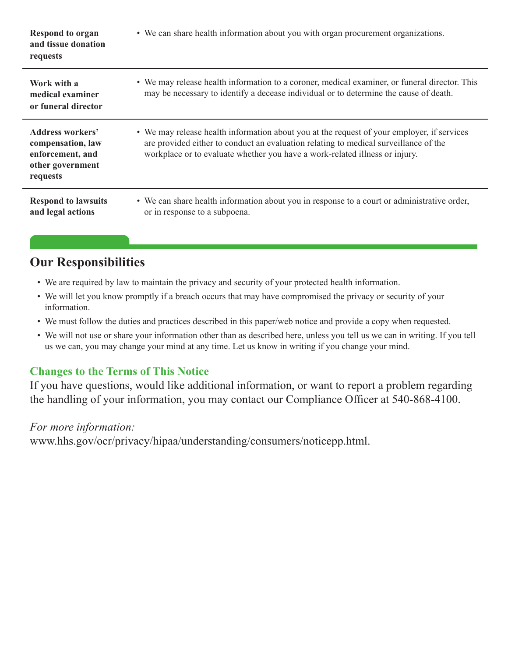| <b>Respond to organ</b><br>and tissue donation<br>requests                                       | • We can share health information about you with organ procurement organizations.                                                                                                                                                                                 |
|--------------------------------------------------------------------------------------------------|-------------------------------------------------------------------------------------------------------------------------------------------------------------------------------------------------------------------------------------------------------------------|
| Work with a<br>medical examiner<br>or funeral director                                           | • We may release health information to a coroner, medical examiner, or funeral director. This<br>may be necessary to identify a decease individual or to determine the cause of death.                                                                            |
| <b>Address workers'</b><br>compensation, law<br>enforcement, and<br>other government<br>requests | • We may release health information about you at the request of your employer, if services<br>are provided either to conduct an evaluation relating to medical surveillance of the<br>workplace or to evaluate whether you have a work-related illness or injury. |
| <b>Respond to lawsuits</b><br>and legal actions                                                  | • We can share health information about you in response to a court or administrative order,<br>or in response to a subpoena.                                                                                                                                      |

## **Our Responsibilities**

- We are required by law to maintain the privacy and security of your protected health information.
- We will let you know promptly if a breach occurs that may have compromised the privacy or security of your information.
- We must follow the duties and practices described in this paper/web notice and provide a copy when requested.
- We will not use or share your information other than as described here, unless you tell us we can in writing. If you tell us we can, you may change your mind at any time. Let us know in writing if you change your mind.

#### **Changes to the Terms of This Notice**

If you have questions, would like additional information, or want to report a problem regarding the handling of your information, you may contact our Compliance Officer at 540-868-4100.

#### *For more information:*

www.hhs.gov/ocr/privacy/hipaa/understanding/consumers/noticepp.html.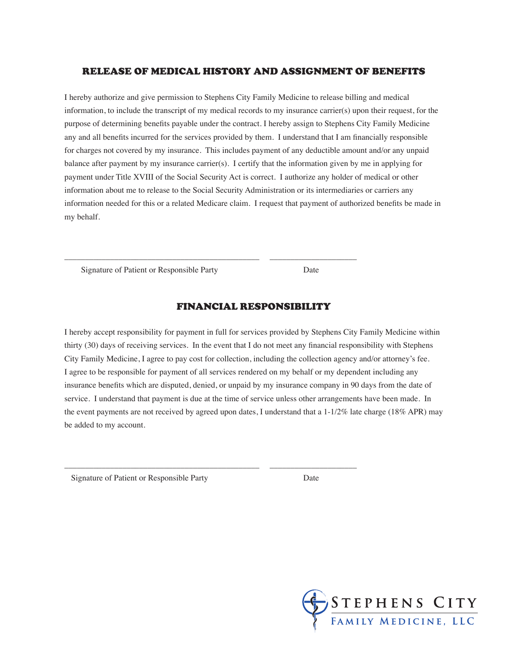#### RELEASE OF MEDICAL HISTORY AND ASSIGNMENT OF BENEFITS

I hereby authorize and give permission to Stephens City Family Medicine to release billing and medical information, to include the transcript of my medical records to my insurance carrier(s) upon their request, for the purpose of determining benefits payable under the contract. I hereby assign to Stephens City Family Medicine any and all benefits incurred for the services provided by them. I understand that I am financially responsible for charges not covered by my insurance. This includes payment of any deductible amount and/or any unpaid balance after payment by my insurance carrier(s). I certify that the information given by me in applying for payment under Title XVIII of the Social Security Act is correct. I authorize any holder of medical or other information about me to release to the Social Security Administration or its intermediaries or carriers any information needed for this or a related Medicare claim. I request that payment of authorized benefits be made in my behalf.

Signature of Patient or Responsible Party Date

#### FINANCIAL RESPONSIBILITY

\_\_\_\_\_\_\_\_\_\_\_\_\_\_\_\_\_\_\_\_\_\_\_\_\_\_\_\_\_\_\_\_\_\_\_\_\_\_\_\_\_\_\_\_\_\_\_ \_\_\_\_\_\_\_\_\_\_\_\_\_\_\_\_\_\_\_\_\_

\_\_\_\_\_\_\_\_\_\_\_\_\_\_\_\_\_\_\_\_\_\_\_\_\_\_\_\_\_\_\_\_\_\_\_\_\_\_\_\_\_\_\_\_\_\_\_ \_\_\_\_\_\_\_\_\_\_\_\_\_\_\_\_\_\_\_\_\_

I hereby accept responsibility for payment in full for services provided by Stephens City Family Medicine within thirty (30) days of receiving services. In the event that I do not meet any financial responsibility with Stephens City Family Medicine, I agree to pay cost for collection, including the collection agency and/or attorney's fee. I agree to be responsible for payment of all services rendered on my behalf or my dependent including any insurance benefits which are disputed, denied, or unpaid by my insurance company in 90 days from the date of service. I understand that payment is due at the time of service unless other arrangements have been made. In the event payments are not received by agreed upon dates, I understand that a 1-1/2% late charge (18% APR) may be added to my account.

Signature of Patient or Responsible Party Date

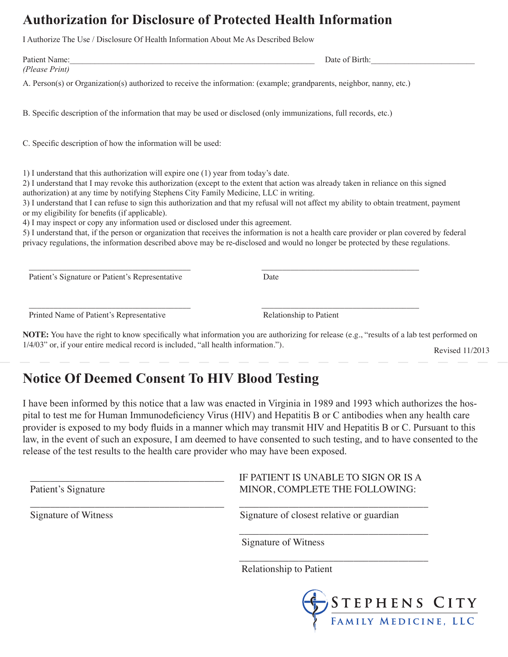## **Authorization for Disclosure of Protected Health Information**

I Authorize The Use / Disclosure Of Health Information About Me As Described Below

| Patient Name:                                                                                                                                                                                                                                                                                                        | Date of Birth:                                                                                                                                                                                                                                                                                                                                                                                                                                                                                                                                                   |
|----------------------------------------------------------------------------------------------------------------------------------------------------------------------------------------------------------------------------------------------------------------------------------------------------------------------|------------------------------------------------------------------------------------------------------------------------------------------------------------------------------------------------------------------------------------------------------------------------------------------------------------------------------------------------------------------------------------------------------------------------------------------------------------------------------------------------------------------------------------------------------------------|
| (Please Print)<br>A. Person(s) or Organization(s) authorized to receive the information: (example; grandparents, neighbor, nanny, etc.)                                                                                                                                                                              |                                                                                                                                                                                                                                                                                                                                                                                                                                                                                                                                                                  |
| B. Specific description of the information that may be used or disclosed (only immunizations, full records, etc.)                                                                                                                                                                                                    |                                                                                                                                                                                                                                                                                                                                                                                                                                                                                                                                                                  |
| C. Specific description of how the information will be used:                                                                                                                                                                                                                                                         |                                                                                                                                                                                                                                                                                                                                                                                                                                                                                                                                                                  |
| 1) I understand that this authorization will expire one (1) year from today's date.<br>authorization) at any time by notifying Stephens City Family Medicine, LLC in writing.<br>or my eligibility for benefits (if applicable).<br>4) I may inspect or copy any information used or disclosed under this agreement. | 2) I understand that I may revoke this authorization (except to the extent that action was already taken in reliance on this signed<br>3) I understand that I can refuse to sign this authorization and that my refusal will not affect my ability to obtain treatment, payment<br>5) I understand that, if the person or organization that receives the information is not a health care provider or plan covered by federal<br>privacy regulations, the information described above may be re-disclosed and would no longer be protected by these regulations. |
| Patient's Signature or Patient's Representative                                                                                                                                                                                                                                                                      | Date                                                                                                                                                                                                                                                                                                                                                                                                                                                                                                                                                             |
| Printed Name of Patient's Representative                                                                                                                                                                                                                                                                             | Relationship to Patient                                                                                                                                                                                                                                                                                                                                                                                                                                                                                                                                          |
| 1/4/03" or, if your entire medical record is included, "all health information.").                                                                                                                                                                                                                                   | NOTE: You have the right to know specifically what information you are authorizing for release (e.g., "results of a lab test performed on<br>Revised 11/2013                                                                                                                                                                                                                                                                                                                                                                                                     |

## **Notice Of Deemed Consent To HIV Blood Testing**

I have been informed by this notice that a law was enacted in Virginia in 1989 and 1993 which authorizes the hospital to test me for Human Immunodeficiency Virus (HIV) and Hepatitis B or C antibodies when any health care provider is exposed to my body fluids in a manner which may transmit HIV and Hepatitis B or C. Pursuant to this law, in the event of such an exposure, I am deemed to have consented to such testing, and to have consented to the release of the test results to the health care provider who may have been exposed.

 $\overline{\phantom{a}}$  , and the contract of the contract of the contract of the contract of the contract of the contract of the contract of the contract of the contract of the contract of the contract of the contract of the contrac

 $\overline{\phantom{a}}$  , and the contribution of the contribution of the contribution of the contribution of the contribution of the contribution of the contribution of the contribution of the contribution of the contribution of the

IF PATIENT IS UNABLE TO SIGN OR IS A Patient's Signature MINOR, COMPLETE THE FOLLOWING:

Signature of Witness Signature of closest relative or guardian

Signature of Witness

 $\overline{\phantom{a}}$  , and the contract of the contract of the contract of the contract of the contract of the contract of the contract of the contract of the contract of the contract of the contract of the contract of the contrac Relationship to Patient

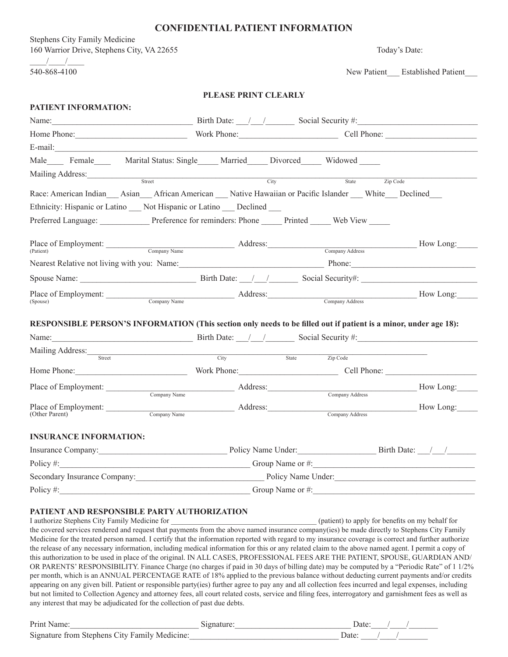#### **CONFIDENTIAL PATIENT INFORMATION**

Stephens City Family Medicine 160 Warrior Drive, Stephens City, VA 22655 Today's Date:  $\frac{1}{2}$ 

540-868-4100 New Patient\_\_\_ Established Patient\_\_\_

#### **PLEASE PRINT CLEARLY**

| PATIENT INFORMATION:                                                                                                               |      |                       |                                                                                                                                                                                                                                                                                                                                                                                                                      |
|------------------------------------------------------------------------------------------------------------------------------------|------|-----------------------|----------------------------------------------------------------------------------------------------------------------------------------------------------------------------------------------------------------------------------------------------------------------------------------------------------------------------------------------------------------------------------------------------------------------|
| Name: $\frac{1}{2}$ Birth Date: $\frac{1}{2}$ Social Security #:                                                                   |      |                       |                                                                                                                                                                                                                                                                                                                                                                                                                      |
| Home Phone: Work Phone: Cell Phone: Cell Phone:                                                                                    |      |                       |                                                                                                                                                                                                                                                                                                                                                                                                                      |
|                                                                                                                                    |      |                       |                                                                                                                                                                                                                                                                                                                                                                                                                      |
| Male Female Marital Status: Single Married Divorced Widowed                                                                        |      |                       |                                                                                                                                                                                                                                                                                                                                                                                                                      |
| Mailing Address: Street                                                                                                            | City | State <b>Zip Code</b> |                                                                                                                                                                                                                                                                                                                                                                                                                      |
| Race: American Indian Asian African American Native Hawaiian or Pacific Islander White Declined                                    |      |                       |                                                                                                                                                                                                                                                                                                                                                                                                                      |
| Ethnicity: Hispanic or Latino Not Hispanic or Latino Declined                                                                      |      |                       |                                                                                                                                                                                                                                                                                                                                                                                                                      |
| Preferred Language: Preference for reminders: Phone Printed Web View                                                               |      |                       |                                                                                                                                                                                                                                                                                                                                                                                                                      |
|                                                                                                                                    |      |                       |                                                                                                                                                                                                                                                                                                                                                                                                                      |
| Place of Employment: Company Name Address: Company Address: Company Address How Long:                                              |      |                       |                                                                                                                                                                                                                                                                                                                                                                                                                      |
|                                                                                                                                    |      |                       |                                                                                                                                                                                                                                                                                                                                                                                                                      |
| Nearest Relative not living with you: Name: Name: Phone: Phone:                                                                    |      |                       |                                                                                                                                                                                                                                                                                                                                                                                                                      |
|                                                                                                                                    |      |                       |                                                                                                                                                                                                                                                                                                                                                                                                                      |
| Place of Employment: Company Name Address: Company Address: Company Address Company Address How Long:<br>(Spouse)                  |      |                       |                                                                                                                                                                                                                                                                                                                                                                                                                      |
|                                                                                                                                    |      |                       |                                                                                                                                                                                                                                                                                                                                                                                                                      |
| RESPONSIBLE PERSON'S INFORMATION (This section only needs to be filled out if patient is a minor, under age 18):                   |      |                       |                                                                                                                                                                                                                                                                                                                                                                                                                      |
| Name: $\frac{1}{2}$ Birth Date: $\frac{1}{2}$ Social Security #:                                                                   |      |                       |                                                                                                                                                                                                                                                                                                                                                                                                                      |
| Mailing Address: Street City State                                                                                                 |      |                       |                                                                                                                                                                                                                                                                                                                                                                                                                      |
|                                                                                                                                    |      | Zip Code              |                                                                                                                                                                                                                                                                                                                                                                                                                      |
| Home Phone: Cell Phone: Cell Phone: Cell Phone:                                                                                    |      |                       |                                                                                                                                                                                                                                                                                                                                                                                                                      |
| Place of Employment: Company Name Address: Company Address Company Address How Long:                                               |      |                       |                                                                                                                                                                                                                                                                                                                                                                                                                      |
|                                                                                                                                    |      |                       | How Long:                                                                                                                                                                                                                                                                                                                                                                                                            |
| Place of Employment: Company Name Address: Company Address: Company Address Company Address                                        |      |                       |                                                                                                                                                                                                                                                                                                                                                                                                                      |
|                                                                                                                                    |      |                       |                                                                                                                                                                                                                                                                                                                                                                                                                      |
| <b>INSURANCE INFORMATION:</b>                                                                                                      |      |                       |                                                                                                                                                                                                                                                                                                                                                                                                                      |
|                                                                                                                                    |      |                       |                                                                                                                                                                                                                                                                                                                                                                                                                      |
| Policy #: Group Name or #:                                                                                                         |      |                       |                                                                                                                                                                                                                                                                                                                                                                                                                      |
| Secondary Insurance Company: Policy Name Under: Policy Name Under:                                                                 |      |                       |                                                                                                                                                                                                                                                                                                                                                                                                                      |
| Policy #:<br><u> 1989 - Johann Barn, mars ann an t-Amhain an t-Amhain an t-Amhain an t-Amhain an t-Amhain an t-Amhain an t-Amh</u> |      |                       | $\frac{1}{\sqrt{1-\frac{1}{2}}\sqrt{1-\frac{1}{2}}\sqrt{1-\frac{1}{2}}\sqrt{1-\frac{1}{2}}\sqrt{1-\frac{1}{2}}\sqrt{1-\frac{1}{2}}\sqrt{1-\frac{1}{2}}\sqrt{1-\frac{1}{2}}\sqrt{1-\frac{1}{2}}\sqrt{1-\frac{1}{2}}\sqrt{1-\frac{1}{2}}\sqrt{1-\frac{1}{2}}\sqrt{1-\frac{1}{2}}\sqrt{1-\frac{1}{2}}\sqrt{1-\frac{1}{2}}\sqrt{1-\frac{1}{2}}\sqrt{1-\frac{1}{2}}\sqrt{1-\frac{1}{2}}\sqrt{1-\frac{1}{2}}\sqrt{1-\frac$ |

#### **PATIENT AND RESPONSIBLE PARTY AUTHORIZATION**

I authorize Stephens City Family Medicine for  $($ patient) to apply for benefits on my behalf for the covered services rendered and request that payments from the above named insurance company(ies) be made directly to Stephens City Family Medicine for the treated person named. I certify that the information reported with regard to my insurance coverage is correct and further authorize the release of any necessary information, including medical information for this or any related claim to the above named agent. I permit a copy of this authorization to be used in place of the original. IN ALL CASES, PROFESSIONAL FEES ARE THE PATIENT, SPOUSE, GUARDIAN AND/ OR PARENTS' RESPONSIBILITY. Finance Charge (no charges if paid in 30 days of billing date) may be computed by a "Periodic Rate" of 1 1/2% per month, which is an ANNUAL PERCENTAGE RATE of 18% applied to the previous balance without deducting current payments and/or credits appearing on any given bill. Patient or responsible party(ies) further agree to pay any and all collection fees incurred and legal expenses, including but not limited to Collection Agency and attorney fees, all court related costs, service and filing fees, interrogatory and garnishment fees as well as any interest that may be adjudicated for the collection of past due debts.

| Print Name:                                   |  |
|-----------------------------------------------|--|
| Signature from Stephens City Family Medicine: |  |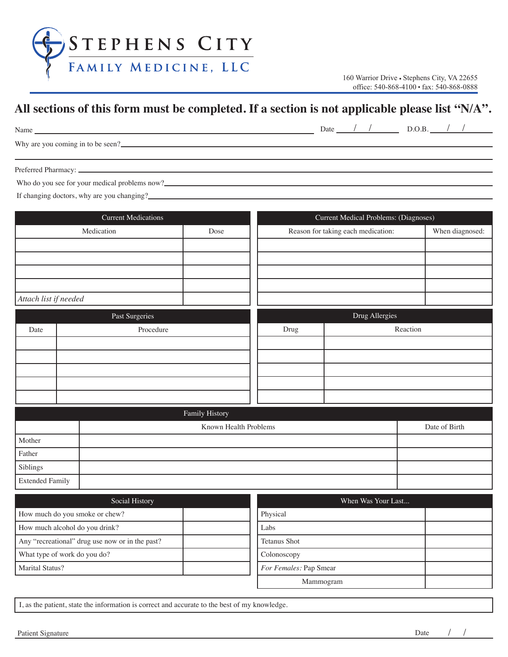

## **www.scfammed.com All sections of this form must be completed. If a section is not applicable please list "N/A".**

| Name                                                     | Date | $\nu \ddotsc \nu$ |  |
|----------------------------------------------------------|------|-------------------|--|
| X/L<br>-to<br>be<br>seen:<br>coming in<br>VOU<br>wny are |      |                   |  |

Preferred Pharmacy:

Who do you see for your medical problems now?<br>
<u>
Who do you see for your medical problems now?</u>

If changing doctors, why are you changing?

| <b>Current Medications</b> |  |                                                  | Current Medical Problems: (Diagnoses)      |      |  |                    |                 |               |
|----------------------------|--|--------------------------------------------------|--------------------------------------------|------|--|--------------------|-----------------|---------------|
|                            |  | Medication                                       | Reason for taking each medication:<br>Dose |      |  |                    | When diagnosed: |               |
|                            |  |                                                  |                                            |      |  |                    |                 |               |
|                            |  |                                                  |                                            |      |  |                    |                 |               |
|                            |  |                                                  |                                            |      |  |                    |                 |               |
|                            |  |                                                  |                                            |      |  |                    |                 |               |
| Attach list if needed      |  |                                                  |                                            |      |  |                    |                 |               |
|                            |  | Past Surgeries                                   |                                            |      |  | Drug Allergies     |                 |               |
| Date                       |  | Procedure                                        |                                            | Drug |  |                    | Reaction        |               |
|                            |  |                                                  |                                            |      |  |                    |                 |               |
|                            |  |                                                  |                                            |      |  |                    |                 |               |
|                            |  |                                                  |                                            |      |  |                    |                 |               |
|                            |  |                                                  |                                            |      |  |                    |                 |               |
|                            |  |                                                  |                                            |      |  |                    |                 |               |
|                            |  |                                                  | Family History                             |      |  |                    |                 |               |
|                            |  |                                                  | Known Health Problems                      |      |  |                    |                 | Date of Birth |
| Mother                     |  |                                                  |                                            |      |  |                    |                 |               |
| Father                     |  |                                                  |                                            |      |  |                    |                 |               |
| Siblings                   |  |                                                  |                                            |      |  |                    |                 |               |
| <b>Extended Family</b>     |  |                                                  |                                            |      |  |                    |                 |               |
|                            |  | $\mathcal{C}_{\alpha \alpha i \alpha 1}$ History |                                            |      |  | Whon Wes Vour Lost |                 |               |

| Social History                                  | When Was Your Last     |  |
|-------------------------------------------------|------------------------|--|
| How much do you smoke or chew?                  | Physical               |  |
| How much alcohol do you drink?                  | Labs                   |  |
| Any "recreational" drug use now or in the past? | <b>Tetanus Shot</b>    |  |
| What type of work do you do?                    | Colonoscopy            |  |
| Marital Status?                                 | For Females: Pap Smear |  |
|                                                 | Mammogram              |  |

I, as the patient, state the information is correct and accurate to the best of my knowledge.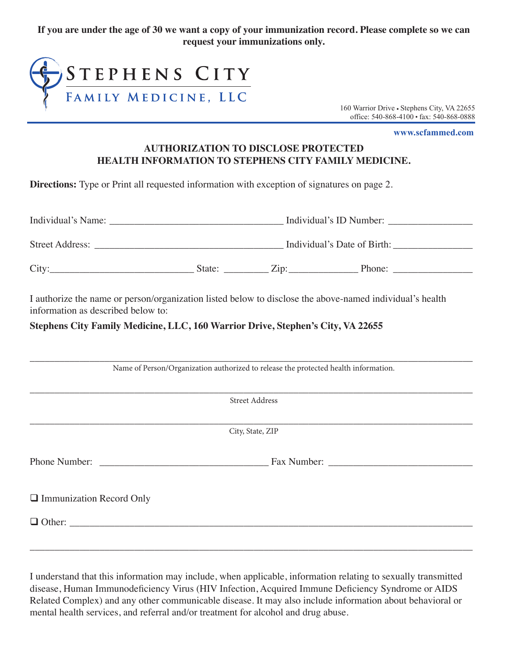**If you are under the age of 30 we want a copy of your immunization record. Please complete so we can request your immunizations only.**



office: 540-868-4100 · fax: 540-868-0888 160 Warrior Drive • Stephens City, VA 22655

**www.scfammed.com**

#### **AUTHORIZATION TO DISCLOSE PROTECTED HEALTH INFORMATION TO STEPHENS CITY FAMILY MEDICINE.**

**Directions:** Type or Print all requested information with exception of signatures on page 2.

| Individual's Name:     |                             |                     | Individual's ID Number: |  |  |
|------------------------|-----------------------------|---------------------|-------------------------|--|--|
| <b>Street Address:</b> | Individual's Date of Birth: |                     |                         |  |  |
| City:                  | State:                      | $Z$ <sub>1D</sub> : | Phone:                  |  |  |

I authorize the name or person/organization listed below to disclose the above-named individual's health information as described below to:

**Stephens City Family Medicine, LLC, 160 Warrior Drive, Stephen's City, VA 22655**

| Name of Person/Organization authorized to release the protected health information. |                       |  |  |  |
|-------------------------------------------------------------------------------------|-----------------------|--|--|--|
|                                                                                     | <b>Street Address</b> |  |  |  |
|                                                                                     | City, State, ZIP      |  |  |  |
|                                                                                     |                       |  |  |  |
| $\Box$ Immunization Record Only                                                     |                       |  |  |  |
|                                                                                     |                       |  |  |  |
|                                                                                     |                       |  |  |  |

I understand that this information may include, when applicable, information relating to sexually transmitted disease, Human Immunodeficiency Virus (HIV Infection, Acquired Immune Deficiency Syndrome or AIDS Related Complex) and any other communicable disease. It may also include information about behavioral or mental health services, and referral and/or treatment for alcohol and drug abuse.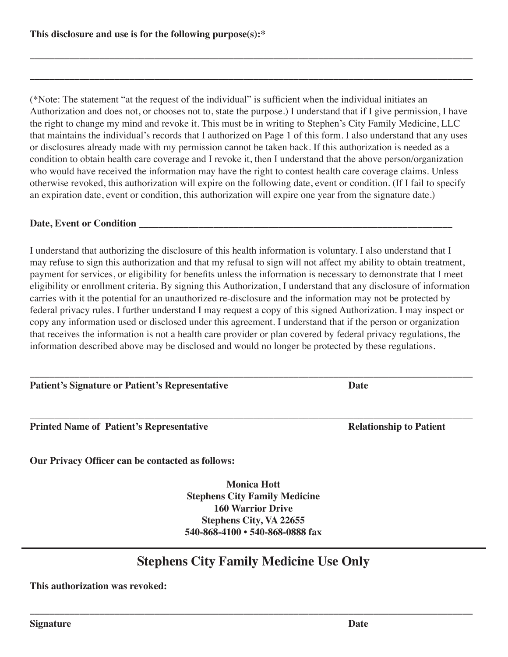(\*Note: The statement "at the request of the individual" is sufficient when the individual initiates an Authorization and does not, or chooses not to, state the purpose.) I understand that if I give permission, I have the right to change my mind and revoke it. This must be in writing to Stephen's City Family Medicine, LLC that maintains the individual's records that I authorized on Page 1 of this form. I also understand that any uses or disclosures already made with my permission cannot be taken back. If this authorization is needed as a condition to obtain health care coverage and I revoke it, then I understand that the above person/organization who would have received the information may have the right to contest health care coverage claims. Unless otherwise revoked, this authorization will expire on the following date, event or condition. (If I fail to specify an expiration date, event or condition, this authorization will expire one year from the signature date.)

**\_\_\_\_\_\_\_\_\_\_\_\_\_\_\_\_\_\_\_\_\_\_\_\_\_\_\_\_\_\_\_\_\_\_\_\_\_\_\_\_\_\_\_\_\_\_\_\_\_\_\_\_\_\_\_\_\_\_\_\_\_\_\_\_\_\_\_\_\_\_\_\_\_\_\_\_\_\_\_\_\_\_\_\_\_\_\_\_\_**

**\_\_\_\_\_\_\_\_\_\_\_\_\_\_\_\_\_\_\_\_\_\_\_\_\_\_\_\_\_\_\_\_\_\_\_\_\_\_\_\_\_\_\_\_\_\_\_\_\_\_\_\_\_\_\_\_\_\_\_\_\_\_\_\_\_\_\_\_\_\_\_\_\_\_\_\_\_\_\_\_\_\_\_\_\_\_\_\_\_**

#### Date, Event or Condition

I understand that authorizing the disclosure of this health information is voluntary. I also understand that I may refuse to sign this authorization and that my refusal to sign will not affect my ability to obtain treatment, payment for services, or eligibility for benefits unless the information is necessary to demonstrate that I meet eligibility or enrollment criteria. By signing this Authorization, I understand that any disclosure of information carries with it the potential for an unauthorized re-disclosure and the information may not be protected by federal privacy rules. I further understand I may request a copy of this signed Authorization. I may inspect or copy any information used or disclosed under this agreement. I understand that if the person or organization that receives the information is not a health care provider or plan covered by federal privacy regulations, the information described above may be disclosed and would no longer be protected by these regulations.

\_\_\_\_\_\_\_\_\_\_\_\_\_\_\_\_\_\_\_\_\_\_\_\_\_\_\_\_\_\_\_\_\_\_\_\_\_\_\_\_\_\_\_\_\_\_\_\_\_\_\_\_\_\_\_\_\_\_\_\_\_\_\_\_\_\_\_\_\_\_\_\_\_\_\_\_\_\_\_\_\_\_\_\_\_\_\_\_\_

**Patient's Signature or Patient's Representative Date** 

**Printed Name of Patient's Representative Relationship to Patient** 

**Our Privacy Officer can be contacted as follows:**

**Monica Hott Stephens City Family Medicine 160 Warrior Drive Stephens City, VA 22655 540-868-4100 • 540-868-0888 fax**

#### **Stephens City Family Medicine Use Only**

**\_\_\_\_\_\_\_\_\_\_\_\_\_\_\_\_\_\_\_\_\_\_\_\_\_\_\_\_\_\_\_\_\_\_\_\_\_\_\_\_\_\_\_\_\_\_\_\_\_\_\_\_\_\_\_\_\_\_\_\_\_\_\_\_\_\_\_\_\_\_\_\_\_\_\_\_\_\_\_\_\_\_\_\_\_\_\_\_\_**

**This authorization was revoked:**

**Signature Date**

\_\_\_\_\_\_\_\_\_\_\_\_\_\_\_\_\_\_\_\_\_\_\_\_\_\_\_\_\_\_\_\_\_\_\_\_\_\_\_\_\_\_\_\_\_\_\_\_\_\_\_\_\_\_\_\_\_\_\_\_\_\_\_\_\_\_\_\_\_\_\_\_\_\_\_\_\_\_\_\_\_\_\_\_\_\_\_\_\_